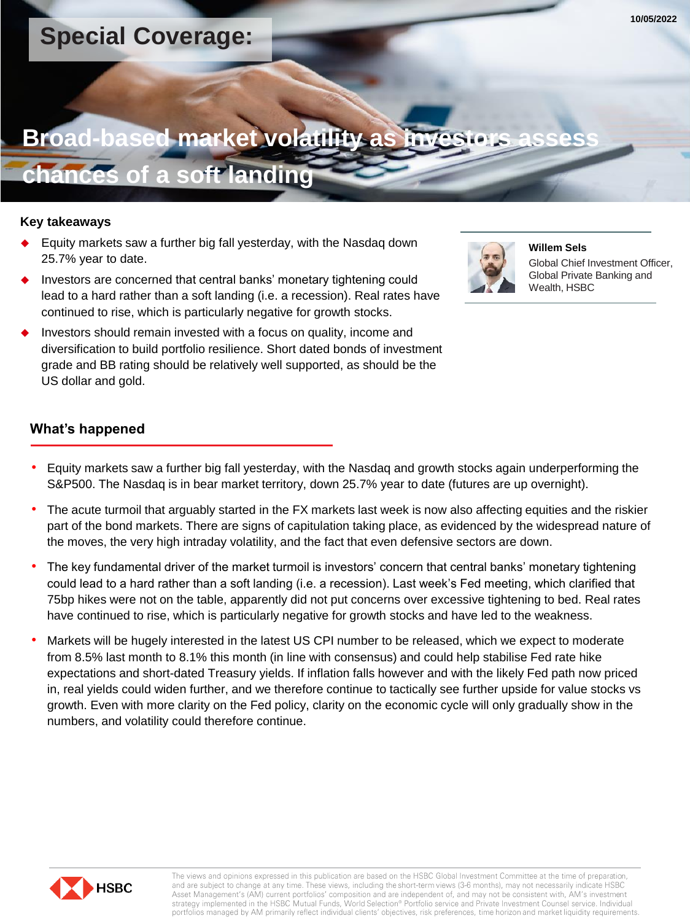## **Special Coverage:**

# **Broad-based market volatility as**

## **chances of a soft landing**

## **Key takeaways**

- Equity markets saw a further big fall yesterday, with the Nasdaq down 25.7% year to date.
- Investors are concerned that central banks' monetary tightening could lead to a hard rather than a soft landing (i.e. a recession). Real rates have continued to rise, which is particularly negative for growth stocks.
- Investors should remain invested with a focus on quality, income and diversification to build portfolio resilience. Short dated bonds of investment grade and BB rating should be relatively well supported, as should be the US dollar and gold.



**Willem Sels** Global Chief Investment Officer, Global Private Banking and Wealth, HSBC

## **What's happened**

- Equity markets saw a further big fall yesterday, with the Nasdaq and growth stocks again underperforming the S&P500. The Nasdaq is in bear market territory, down 25.7% year to date (futures are up overnight).
- The acute turmoil that arguably started in the FX markets last week is now also affecting equities and the riskier part of the bond markets. There are signs of capitulation taking place, as evidenced by the widespread nature of the moves, the very high intraday volatility, and the fact that even defensive sectors are down.
- The key fundamental driver of the market turmoil is investors' concern that central banks' monetary tightening could lead to a hard rather than a soft landing (i.e. a recession). Last week's Fed meeting, which clarified that 75bp hikes were not on the table, apparently did not put concerns over excessive tightening to bed. Real rates have continued to rise, which is particularly negative for growth stocks and have led to the weakness.
- Markets will be hugely interested in the latest US CPI number to be released, which we expect to moderate from 8.5% last month to 8.1% this month (in line with consensus) and could help stabilise Fed rate hike expectations and short-dated Treasury yields. If inflation falls however and with the likely Fed path now priced in, real yields could widen further, and we therefore continue to tactically see further upside for value stocks vs growth. Even with more clarity on the Fed policy, clarity on the economic cycle will only gradually show in the numbers, and volatility could therefore continue.



The views and opinions expressed in this publication are based on the HSBC Global Investment Committee at the time of preparation, and are subject to change at any time. These views, including the short-term views (3-6 months), may not necessarily indicate HSBC Asset Management's (AM) current portfolios' composition and are independent of, and may not be consistent with, AM's investment strategy implemented in the HSBC Mutual Funds, World Selection® Portfolio service and Private Investment Counsel service. Individual portfolios managed by AM primarily reflect individual clients' objectives, risk preferences, time horizon and market liquidity requirements.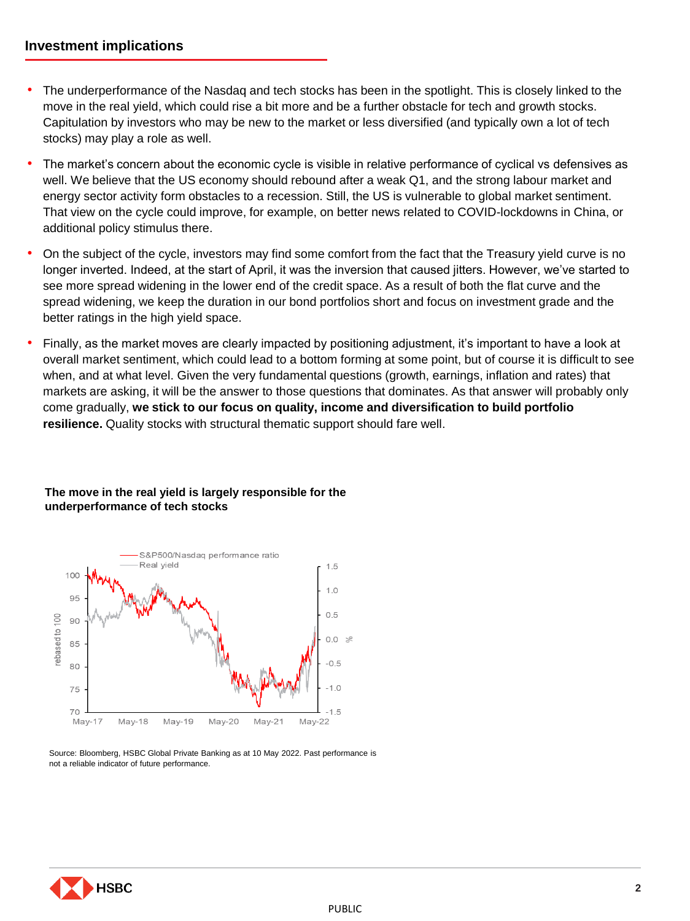- The underperformance of the Nasdaq and tech stocks has been in the spotlight. This is closely linked to the move in the real yield, which could rise a bit more and be a further obstacle for tech and growth stocks. Capitulation by investors who may be new to the market or less diversified (and typically own a lot of tech stocks) may play a role as well.
- The market's concern about the economic cycle is visible in relative performance of cyclical vs defensives as well. We believe that the US economy should rebound after a weak Q1, and the strong labour market and energy sector activity form obstacles to a recession. Still, the US is vulnerable to global market sentiment. That view on the cycle could improve, for example, on better news related to COVID-lockdowns in China, or additional policy stimulus there.
- On the subject of the cycle, investors may find some comfort from the fact that the Treasury yield curve is no longer inverted. Indeed, at the start of April, it was the inversion that caused jitters. However, we've started to see more spread widening in the lower end of the credit space. As a result of both the flat curve and the spread widening, we keep the duration in our bond portfolios short and focus on investment grade and the better ratings in the high yield space.
- Finally, as the market moves are clearly impacted by positioning adjustment, it's important to have a look at overall market sentiment, which could lead to a bottom forming at some point, but of course it is difficult to see when, and at what level. Given the very fundamental questions (growth, earnings, inflation and rates) that markets are asking, it will be the answer to those questions that dominates. As that answer will probably only come gradually, **we stick to our focus on quality, income and diversification to build portfolio resilience.** Quality stocks with structural thematic support should fare well.

## **The move in the real yield is largely responsible for the underperformance of tech stocks**



Source: Bloomberg, HSBC Global Private Banking as at 10 May 2022. Past performance is not a reliable indicator of future performance.